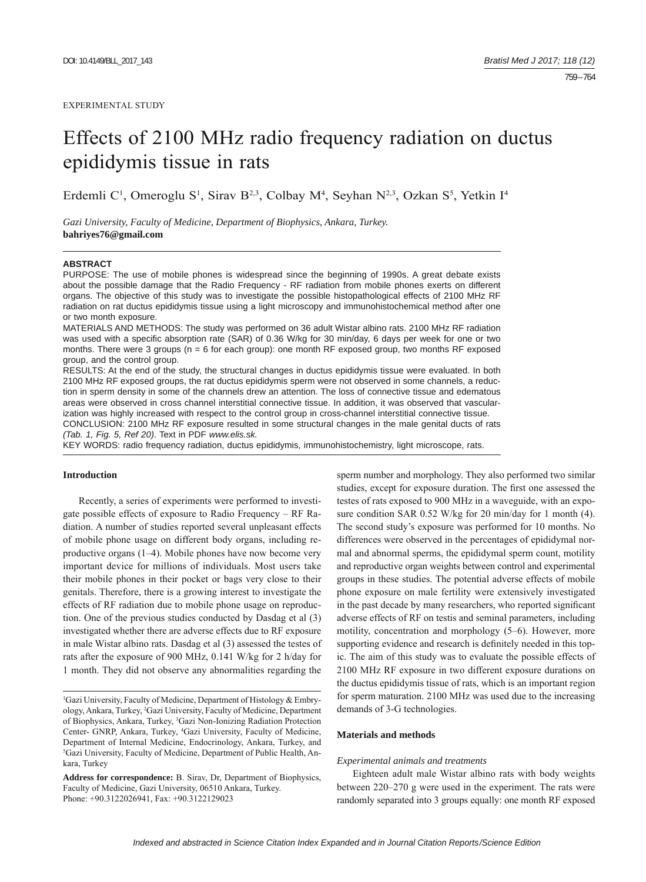# Effects of 2100 MHz radio frequency radiation on ductus epididymis tissue in rats

Erdemli C<sup>1</sup>, Omeroglu S<sup>1</sup>, Sirav B<sup>2,3</sup>, Colbay M<sup>4</sup>, Seyhan N<sup>2,3</sup>, Ozkan S<sup>5</sup>, Yetkin I<sup>4</sup>

*Gazi University, Faculty of Medicine, Department of Biophysics, Ankara, Turkey.*  **bahriyes76@gmail.com**

#### **ABSTRACT**

PURPOSE: The use of mobile phones is widespread since the beginning of 1990s. A great debate exists about the possible damage that the Radio Frequency - RF radiation from mobile phones exerts on different organs. The objective of this study was to investigate the possible histopathological effects of 2100 MHz RF radiation on rat ductus epididymis tissue using a light microscopy and immunohistochemical method after one or two month exposure.

MATERIALS AND METHODS: The study was performed on 36 adult Wistar albino rats. 2100 MHz RF radiation was used with a specific absorption rate (SAR) of 0.36 W/kg for 30 min/day, 6 days per week for one or two months. There were 3 groups (n = 6 for each group): one month RF exposed group, two months RF exposed group, and the control group.

RESULTS: At the end of the study, the structural changes in ductus epididymis tissue were evaluated. In both 2100 MHz RF exposed groups, the rat ductus epididymis sperm were not observed in some channels, a reduction in sperm density in some of the channels drew an attention. The loss of connective tissue and edematous areas were observed in cross channel interstitial connective tissue. In addition, it was observed that vascularization was highly increased with respect to the control group in cross-channel interstitial connective tissue.

CONCLUSION: 2100 MHz RF exposure resulted in some structural changes in the male genital ducts of rats *(Tab. 1, Fig. 5, Ref 20)*. Text in PDF *www.elis.sk.*

KEY WORDS: radio frequency radiation, ductus epididymis, immunohistochemistry, light microscope, rats.

## **Introduction**

Recently, a series of experiments were performed to investigate possible effects of exposure to Radio Frequency – RF Radiation. A number of studies reported several unpleasant effects of mobile phone usage on different body organs, including reproductive organs (1–4). Mobile phones have now become very important device for millions of individuals. Most users take their mobile phones in their pocket or bags very close to their genitals. Therefore, there is a growing interest to investigate the effects of RF radiation due to mobile phone usage on reproduction. One of the previous studies conducted by Dasdag et al (3) investigated whether there are adverse effects due to RF exposure in male Wistar albino rats. Dasdag et al (3) assessed the testes of rats after the exposure of 900 MHz, 0.141 W/kg for 2 h/day for 1 month. They did not observe any abnormalities regarding the

sperm number and morphology. They also performed two similar studies, except for exposure duration. The first one assessed the testes of rats exposed to 900 MHz in a waveguide, with an exposure condition SAR 0.52 W/kg for 20 min/day for 1 month (4). The second study's exposure was performed for 10 months. No differences were observed in the percentages of epididymal normal and abnormal sperms, the epididymal sperm count, motility and reproductive organ weights between control and experimental groups in these studies. The potential adverse effects of mobile phone exposure on male fertility were extensively investigated in the past decade by many researchers, who reported significant adverse effects of RF on testis and seminal parameters, including motility, concentration and morphology (5–6). However, more supporting evidence and research is definitely needed in this topic. The aim of this study was to evaluate the possible effects of 2100 MHz RF exposure in two different exposure durations on the ductus epididymis tissue of rats, which is an important region for sperm maturation. 2100 MHz was used due to the increasing demands of 3-G technologies.

#### **Materials and methods**

#### *Experimental animals and treatments*

Eighteen adult male Wistar albino rats with body weights between 220–270 g were used in the experiment. The rats were randomly separated into 3 groups equally: one month RF exposed

<sup>&</sup>lt;sup>1</sup>Gazi University, Faculty of Medicine, Department of Histology & Embryology, Ankara, Turkey, 2 Gazi University, Faculty of Medicine, Department of Biophysics, Ankara, Turkey, <sup>3</sup>Gazi Non-Ionizing Radiation Protection Center- GNRP, Ankara, Turkey, <sup>4</sup>Gazi University, Faculty of Medicine, Department of Internal Medicine, Endocrinology, Ankara, Turkey, and 5 Gazi University, Faculty of Medicine, Department of Public Health, Ankara, Turkey

**Address for correspondence:** B. Sirav, Dr, Department of Biophysics, Faculty of Medicine, Gazi University, 06510 Ankara, Turkey. Phone: +90.3122026941, Fax: +90.3122129023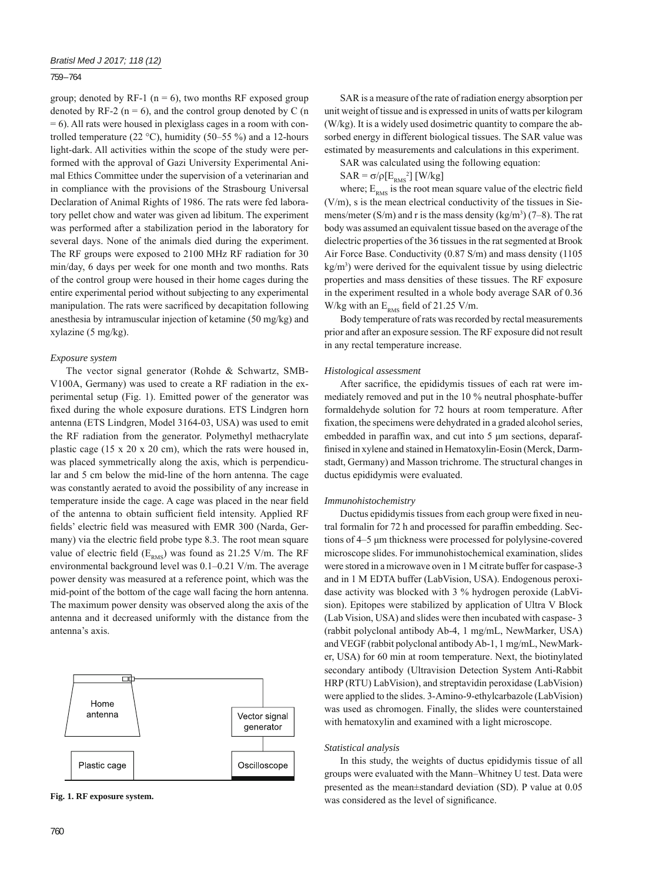#### 759 – 764

group; denoted by RF-1 ( $n = 6$ ), two months RF exposed group denoted by RF-2 ( $n = 6$ ), and the control group denoted by C (n = 6). All rats were housed in plexiglass cages in a room with controlled temperature (22 °C), humidity (50–55 %) and a 12-hours light-dark. All activities within the scope of the study were performed with the approval of Gazi University Experimental Animal Ethics Committee under the supervision of a veterinarian and in compliance with the provisions of the Strasbourg Universal Declaration of Animal Rights of 1986. The rats were fed laboratory pellet chow and water was given ad libitum. The experiment was performed after a stabilization period in the laboratory for several days. None of the animals died during the experiment. The RF groups were exposed to 2100 MHz RF radiation for 30 min/day, 6 days per week for one month and two months. Rats of the control group were housed in their home cages during the entire experimental period without subjecting to any experimental manipulation. The rats were sacrificed by decapitation following anesthesia by intramuscular injection of ketamine (50 mg/kg) and xylazine (5 mg/kg).

#### *Exposure system*

The vector signal generator (Rohde & Schwartz, SMB-V100A, Germany) was used to create a RF radiation in the experimental setup (Fig. 1). Emitted power of the generator was fixed during the whole exposure durations. ETS Lindgren horn antenna (ETS Lindgren, Model 3164-03, USA) was used to emit the RF radiation from the generator. Polymethyl methacrylate plastic cage (15 x 20 x 20 cm), which the rats were housed in, was placed symmetrically along the axis, which is perpendicular and 5 cm below the mid-line of the horn antenna. The cage was constantly aerated to avoid the possibility of any increase in temperature inside the cage. A cage was placed in the near field of the antenna to obtain sufficient field intensity. Applied RF fields' electric field was measured with EMR 300 (Narda, Germany) via the electric field probe type 8.3. The root mean square value of electric field  $(E_{RMS})$  was found as 21.25 V/m. The RF environmental background level was 0.1–0.21 V/m. The average power density was measured at a reference point, which was the mid-point of the bottom of the cage wall facing the horn antenna. The maximum power density was observed along the axis of the antenna and it decreased uniformly with the distance from the antenna's axis.



SAR was calculated using the following equation:

 $SAR = \sigma/\rho[E_{RMS}^2]$  [W/kg]

where;  $E_{RMS}$  is the root mean square value of the electric field (V/m), s is the mean electrical conductivity of the tissues in Siemens/meter  $(S/m)$  and r is the mass density  $(kg/m<sup>3</sup>)$  (7–8). The rat body was assumed an equivalent tissue based on the average of the dielectric properties of the 36 tissues in the rat segmented at Brook Air Force Base. Conductivity (0.87 S/m) and mass density (1105 kg/m3 ) were derived for the equivalent tissue by using dielectric properties and mass densities of these tissues. The RF exposure in the experiment resulted in a whole body average SAR of 0.36 W/kg with an  $E_{RMS}$  field of 21.25 V/m.

Body temperature of rats was recorded by rectal measurements prior and after an exposure session. The RF exposure did not result in any rectal temperature increase.

#### *Histological assessment*

After sacrifice, the epididymis tissues of each rat were immediately removed and put in the 10 % neutral phosphate-buffer formaldehyde solution for 72 hours at room temperature. After fixation, the specimens were dehydrated in a graded alcohol series, embedded in paraffin wax, and cut into  $5 \mu m$  sections, deparaffinised in xylene and stained in Hematoxylin-Eosin (Merck, Darmstadt, Germany) and Masson trichrome. The structural changes in ductus epididymis were evaluated.

#### *Immunohistochemistry*

Ductus epididymis tissues from each group were fixed in neutral formalin for 72 h and processed for paraffin embedding. Sections of 4–5 μm thickness were processed for polylysine-covered microscope slides. For immunohistochemical examination, slides were stored in a microwave oven in 1 M citrate buffer for caspase-3 and in 1 M EDTA buffer (LabVision, USA). Endogenous peroxidase activity was blocked with 3 % hydrogen peroxide (LabVision). Epitopes were stabilized by application of Ultra V Block (Lab Vision, USA) and slides were then incubated with caspase- 3 (rabbit polyclonal antibody Ab-4, 1 mg/mL, NewMarker, USA) and VEGF (rabbit polyclonal antibody Ab-1, 1 mg/mL, NewMarker, USA) for 60 min at room temperature. Next, the biotinylated secondary antibody (Ultravision Detection System Anti-Rabbit HRP (RTU) LabVision), and streptavidin peroxidase (LabVision) were applied to the slides. 3-Amino-9-ethylcarbazole (LabVision) was used as chromogen. Finally, the slides were counterstained with hematoxylin and examined with a light microscope.

#### *Statistical analysis*

In this study, the weights of ductus epididymis tissue of all groups were evaluated with the Mann–Whitney U test. Data were presented as the mean±standard deviation (SD). P value at 0.05 Fig. 1. RF exposure system.<br>
was considered as the level of significance.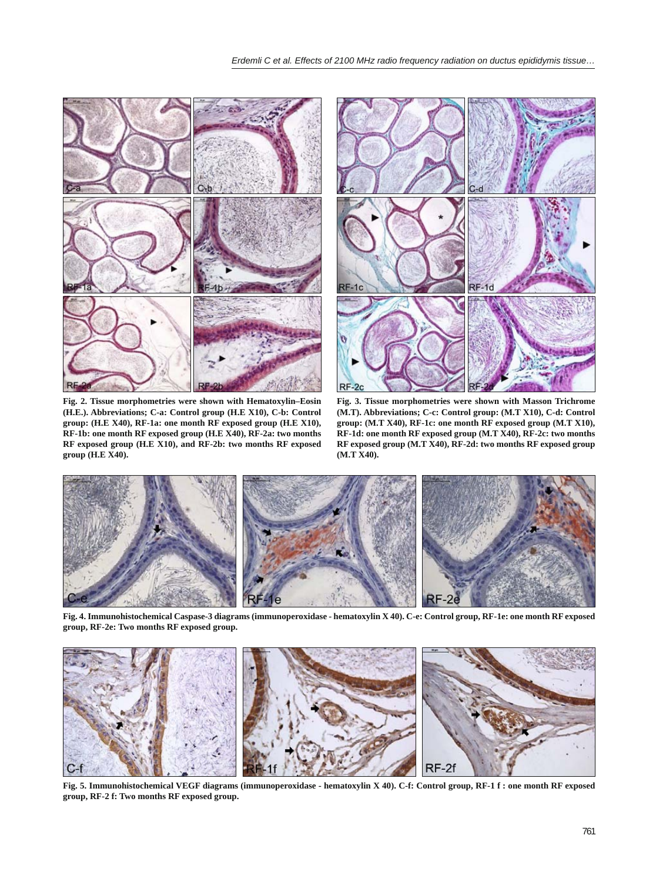

**Fig. 2. Tissue morphometries were shown with Hematoxylin–Eosin (H.E.). Abbreviations; C-a: Control group (H.E X10), C-b: Control group: (H.E X40), RF-1a: one month RF exposed group (H.E X10), RF-1b: one month RF exposed group (H.E X40), RF-2a: two months RF exposed group (H.E X10), and RF-2b: two months RF exposed group (H.E X40).**



**Fig. 3. Tissue morphometries were shown with Masson Trichrome (M.T). Abbreviations; C-c: Control group: (M.T X10), C-d: Control group: (M.T X40), RF-1c: one month RF exposed group (M.T X10), RF-1d: one month RF exposed group (M.T X40), RF-2c: two months RF exposed group (M.T X40), RF-2d: two months RF exposed group (M.T X40).**



**Fig. 4. Immunohistochemical Caspase-3 diagrams (immunoperoxidase - hematoxylin X 40). C-e: Control group, RF-1e: one month RF exposed group, RF-2e: Two months RF exposed group.**



**Fig. 5. Immunohistochemical VEGF diagrams (immunoperoxidase - hematoxylin X 40). C-f: Control group, RF-1 f : one month RF exposed group, RF-2 f: Two months RF exposed group.**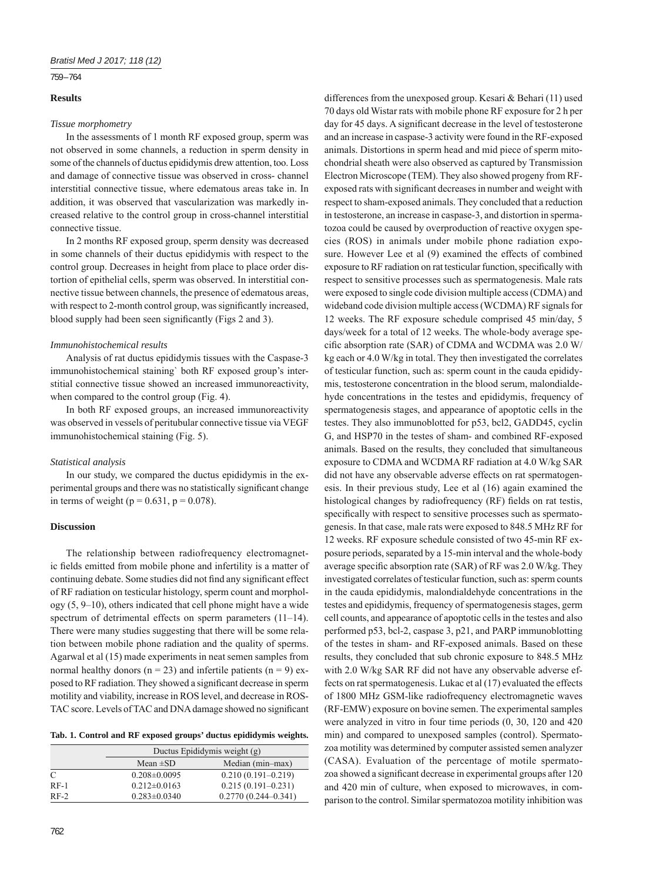# 759 – 764

# **Results**

## *Tissue morphometry*

In the assessments of 1 month RF exposed group, sperm was not observed in some channels, a reduction in sperm density in some of the channels of ductus epididymis drew attention, too. Loss and damage of connective tissue was observed in cross- channel interstitial connective tissue, where edematous areas take in. In addition, it was observed that vascularization was markedly increased relative to the control group in cross-channel interstitial connective tissue.

In 2 months RF exposed group, sperm density was decreased in some channels of their ductus epididymis with respect to the control group. Decreases in height from place to place order distortion of epithelial cells, sperm was observed. In interstitial connective tissue between channels, the presence of edematous areas, with respect to 2-month control group, was significantly increased, blood supply had been seen significantly (Figs 2 and 3).

# *Immunohistochemical results*

Analysis of rat ductus epididymis tissues with the Caspase-3 immunohistochemical staining` both RF exposed group's interstitial connective tissue showed an increased immunoreactivity, when compared to the control group (Fig. 4).

In both RF exposed groups, an increased immunoreactivity was observed in vessels of peritubular connective tissue via VEGF immunohistochemical staining (Fig. 5).

# *Statistical analysis*

In our study, we compared the ductus epididymis in the experimental groups and there was no statistically significant change in terms of weight ( $p = 0.631$ ,  $p = 0.078$ ).

# **Discussion**

The relationship between radiofrequency electromagnetic fields emitted from mobile phone and infertility is a matter of continuing debate. Some studies did not find any significant effect of RF radiation on testicular histology, sperm count and morphology (5, 9–10), others indicated that cell phone might have a wide spectrum of detrimental effects on sperm parameters (11-14). There were many studies suggesting that there will be some relation between mobile phone radiation and the quality of sperms. Agarwal et al (15) made experiments in neat semen samples from normal healthy donors ( $n = 23$ ) and infertile patients ( $n = 9$ ) exposed to RF radiation. They showed a significant decrease in sperm motility and viability, increase in ROS level, and decrease in ROS-TAC score. Levels of TAC and DNA damage showed no significant

| Tab. 1. Control and RF exposed groups' ductus epididymis weights. |  |  |  |
|-------------------------------------------------------------------|--|--|--|
|-------------------------------------------------------------------|--|--|--|

|        | Ductus Epididymis weight (g) |                         |
|--------|------------------------------|-------------------------|
|        | Mean $\pm SD$                | Median (min-max)        |
| C      | $0.208 \pm 0.0095$           | $0.210(0.191 - 0.219)$  |
| $RF-1$ | $0.212 \pm 0.0163$           | $0.215(0.191 - 0.231)$  |
| $RF-2$ | $0.283 \pm 0.0340$           | $0.2770(0.244 - 0.341)$ |

differences from the unexposed group. Kesari & Behari (11) used 70 days old Wistar rats with mobile phone RF exposure for 2 h per day for 45 days. A significant decrease in the level of testosterone and an increase in caspase-3 activity were found in the RF-exposed animals. Distortions in sperm head and mid piece of sperm mitochondrial sheath were also observed as captured by Transmission Electron Microscope (TEM). They also showed progeny from RFexposed rats with significant decreases in number and weight with respect to sham-exposed animals. They concluded that a reduction in testosterone, an increase in caspase-3, and distortion in spermatozoa could be caused by overproduction of reactive oxygen species (ROS) in animals under mobile phone radiation exposure. However Lee et al (9) examined the effects of combined exposure to RF radiation on rat testicular function, specifically with respect to sensitive processes such as spermatogenesis. Male rats were exposed to single code division multiple access (CDMA) and wideband code division multiple access (WCDMA) RF signals for 12 weeks. The RF exposure schedule comprised 45 min/day, 5 days/week for a total of 12 weeks. The whole-body average specific absorption rate (SAR) of CDMA and WCDMA was 2.0 W/ kg each or 4.0 W/kg in total. They then investigated the correlates of testicular function, such as: sperm count in the cauda epididymis, testosterone concentration in the blood serum, malondialdehyde concentrations in the testes and epididymis, frequency of spermatogenesis stages, and appearance of apoptotic cells in the testes. They also immunoblotted for p53, bcl2, GADD45, cyclin G, and HSP70 in the testes of sham- and combined RF-exposed animals. Based on the results, they concluded that simultaneous exposure to CDMA and WCDMA RF radiation at 4.0 W/kg SAR did not have any observable adverse effects on rat spermatogenesis. In their previous study, Lee et al (16) again examined the histological changes by radiofrequency (RF) fields on rat testis, specifically with respect to sensitive processes such as spermatogenesis. In that case, male rats were exposed to 848.5 MHz RF for 12 weeks. RF exposure schedule consisted of two 45-min RF exposure periods, separated by a 15-min interval and the whole-body average specific absorption rate  $(SAR)$  of RF was 2.0 W/kg. They investigated correlates of testicular function, such as: sperm counts in the cauda epididymis, malondialdehyde concentrations in the testes and epididymis, frequency of spermatogenesis stages, germ cell counts, and appearance of apoptotic cells in the testes and also performed p53, bcl-2, caspase 3, p21, and PARP immunoblotting of the testes in sham- and RF-exposed animals. Based on these results, they concluded that sub chronic exposure to 848.5 MHz with 2.0 W/kg SAR RF did not have any observable adverse effects on rat spermatogenesis. Lukac et al (17) evaluated the effects of 1800 MHz GSM-like radiofrequency electromagnetic waves (RF-EMW) exposure on bovine semen. The experimental samples were analyzed in vitro in four time periods (0, 30, 120 and 420 min) and compared to unexposed samples (control). Spermatozoa motility was determined by computer assisted semen analyzer (CASA). Evaluation of the percentage of motile spermatozoa showed a significant decrease in experimental groups after 120 and 420 min of culture, when exposed to microwaves, in comparison to the control. Similar spermatozoa motility inhibition was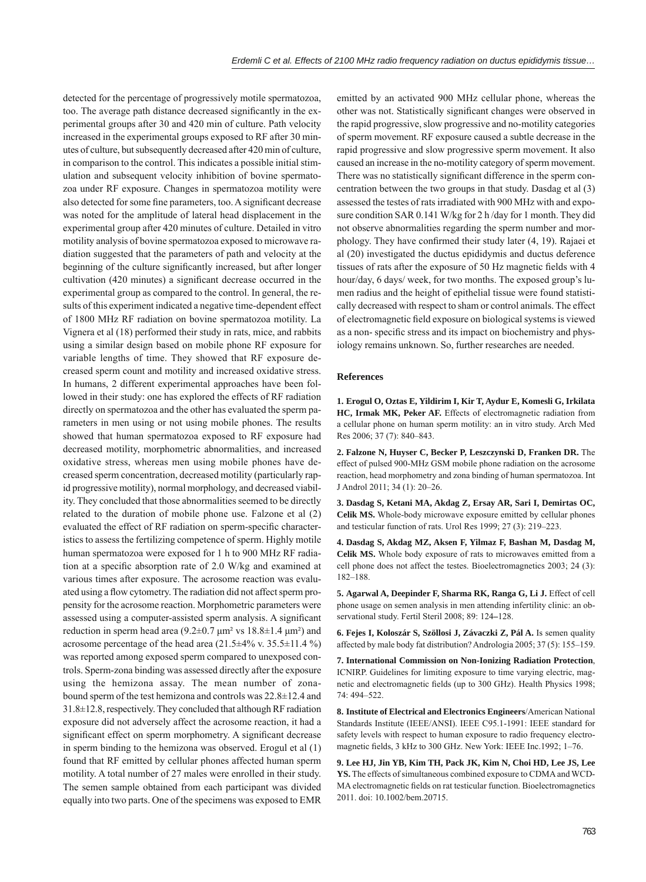detected for the percentage of progressively motile spermatozoa, too. The average path distance decreased significantly in the experimental groups after 30 and 420 min of culture. Path velocity increased in the experimental groups exposed to RF after 30 minutes of culture, but subsequently decreased after 420 min of culture, in comparison to the control. This indicates a possible initial stimulation and subsequent velocity inhibition of bovine spermatozoa under RF exposure. Changes in spermatozoa motility were also detected for some fine parameters, too. A significant decrease was noted for the amplitude of lateral head displacement in the experimental group after 420 minutes of culture. Detailed in vitro motility analysis of bovine spermatozoa exposed to microwave radiation suggested that the parameters of path and velocity at the beginning of the culture significantly increased, but after longer cultivation (420 minutes) a significant decrease occurred in the experimental group as compared to the control. In general, the results of this experiment indicated a negative time-dependent effect of 1800 MHz RF radiation on bovine spermatozoa motility. La Vignera et al (18) performed their study in rats, mice, and rabbits using a similar design based on mobile phone RF exposure for variable lengths of time. They showed that RF exposure decreased sperm count and motility and increased oxidative stress. In humans, 2 different experimental approaches have been followed in their study: one has explored the effects of RF radiation directly on spermatozoa and the other has evaluated the sperm parameters in men using or not using mobile phones. The results showed that human spermatozoa exposed to RF exposure had decreased motility, morphometric abnormalities, and increased oxidative stress, whereas men using mobile phones have decreased sperm concentration, decreased motility (particularly rapid progressive motility), normal morphology, and decreased viability. They concluded that those abnormalities seemed to be directly related to the duration of mobile phone use. Falzone et al (2) evaluated the effect of RF radiation on sperm-specific characteristics to assess the fertilizing competence of sperm. Highly motile human spermatozoa were exposed for 1 h to 900 MHz RF radiation at a specific absorption rate of 2.0 W/kg and examined at various times after exposure. The acrosome reaction was evaluated using a flow cytometry. The radiation did not affect sperm propensity for the acrosome reaction. Morphometric parameters were assessed using a computer-assisted sperm analysis. A significant reduction in sperm head area (9.2 $\pm$ 0.7  $\mu$ m<sup>2</sup> vs 18.8 $\pm$ 1.4  $\mu$ m<sup>2</sup>) and acrosome percentage of the head area (21.5±4% v. 35.5±11.4 %) was reported among exposed sperm compared to unexposed controls. Sperm-zona binding was assessed directly after the exposure using the hemizona assay. The mean number of zonabound sperm of the test hemizona and controls was 22.8±12.4 and 31.8±12.8, respectively. They concluded that although RF radiation exposure did not adversely affect the acrosome reaction, it had a significant effect on sperm morphometry. A significant decrease in sperm binding to the hemizona was observed. Erogul et al (1) found that RF emitted by cellular phones affected human sperm motility. A total number of 27 males were enrolled in their study. The semen sample obtained from each participant was divided equally into two parts. One of the specimens was exposed to EMR

emitted by an activated 900 MHz cellular phone, whereas the other was not. Statistically significant changes were observed in the rapid progressive, slow progressive and no-motility categories of sperm movement. RF exposure caused a subtle decrease in the rapid progressive and slow progressive sperm movement. It also caused an increase in the no-motility category of sperm movement. There was no statistically significant difference in the sperm concentration between the two groups in that study. Dasdag et al (3) assessed the testes of rats irradiated with 900 MHz with and exposure condition SAR 0.141 W/kg for 2 h /day for 1 month. They did not observe abnormalities regarding the sperm number and morphology. They have confirmed their study later  $(4, 19)$ . Rajaei et al (20) investigated the ductus epididymis and ductus deference tissues of rats after the exposure of 50 Hz magnetic fields with 4 hour/day, 6 days/ week, for two months. The exposed group's lumen radius and the height of epithelial tissue were found statistically decreased with respect to sham or control animals. The effect of electromagnetic field exposure on biological systems is viewed as a non- specific stress and its impact on biochemistry and physiology remains unknown. So, further researches are needed.

#### **References**

**1. Erogul O, Oztas E, Yildirim I, Kir T, Aydur E, Komesli G, Irkilata HC, Irmak MK, Peker AF.** Effects of electromagnetic radiation from a cellular phone on human sperm motility: an in vitro study. Arch Med Res 2006; 37 (7): 840–843.

**2. Falzone N, Huyser C, Becker P, Leszczynski D, Franken DR.** The effect of pulsed 900-MHz GSM mobile phone radiation on the acrosome reaction, head morphometry and zona binding of human spermatozoa. Int J Androl 2011; 34 (1): 20–26.

**3. Dasdag S, Ketani MA, Akdag Z, Ersay AR, Sari I, Demirtas OC, Celik MS.** Whole-body microwave exposure emitted by cellular phones and testicular function of rats. Urol Res 1999; 27 (3): 219–223.

**4. Dasdag S, Akdag MZ, Aksen F, Yilmaz F, Bashan M, Dasdag M, Celik MS.** Whole body exposure of rats to microwaves emitted from a cell phone does not affect the testes. Bioelectromagnetics 2003; 24 (3): 182–188.

5. Agarwal A, Deepinder F, Sharma RK, Ranga G, Li J. Effect of cell phone usage on semen analysis in men attending infertility clinic: an observational study. Fertil Steril 2008; 89: 124**–**128.

**6. Fejes I, Koloszár S, Szöllosi J, Závaczki Z, Pál A.** Is semen quality affected by male body fat distribution? Andrologia 2005; 37 (5): 155–159.

**7. International Commission on Non-Ionizing Radiation Protection**, ICNIRP. Guidelines for limiting exposure to time varying electric, magnetic and electromagnetic fields (up to 300 GHz). Health Physics 1998; 74: 494–522.

**8. Institute of Electrical and Electronics Engineers**/American National Standards Institute (IEEE/ANSI). IEEE C95.1-1991: IEEE standard for safety levels with respect to human exposure to radio frequency electromagnetic fields, 3 kHz to 300 GHz. New York: IEEE Inc.1992; 1-76.

**9. Lee HJ, Jin YB, Kim TH, Pack JK, Kim N, Choi HD, Lee JS, Lee YS.** The effects of simultaneous combined exposure to CDMA and WCD-MA electromagnetic fields on rat testicular function. Bioelectromagnetics 2011. doi: 10.1002/bem.20715.